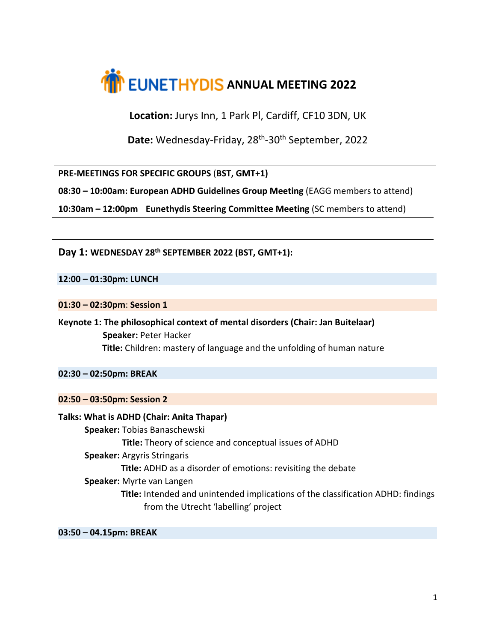

**Location:** Jurys Inn, 1 Park Pl, Cardiff, CF10 3DN, UK

Date: Wednesday-Friday, 28<sup>th</sup>-30<sup>th</sup> September, 2022

**PRE-MEETINGS FOR SPECIFIC GROUPS** (**BST, GMT+1)**

**08:30 – 10:00am: European ADHD Guidelines Group Meeting** (EAGG members to attend)

**10:30am – 12:00pm Eunethydis Steering Committee Meeting** (SC members to attend)

**Day 1: WEDNESDAY 28th SEPTEMBER 2022 (BST, GMT+1):**

**12:00 – 01:30pm: LUNCH**

**01:30 – 02:30pm**: **Session 1**

**Keynote 1: The philosophical context of mental disorders (Chair: Jan Buitelaar) Speaker:** Peter Hacker **Title:** Children: mastery of language and the unfolding of human nature

**02:30 – 02:50pm: BREAK**

**02:50 – 03:50pm: Session 2**

**Talks: What is ADHD (Chair: Anita Thapar) Speaker:** Tobias Banaschewski  **Title:** Theory of science and conceptual issues of ADHD **Speaker:** Argyris Stringaris  **Title:** ADHD as a disorder of emotions: revisiting the debate  **Speaker:** Myrte van Langen **Title:** Intended and unintended implications of the classification ADHD: findings from the Utrecht 'labelling' project

**03:50 – 04.15pm: BREAK**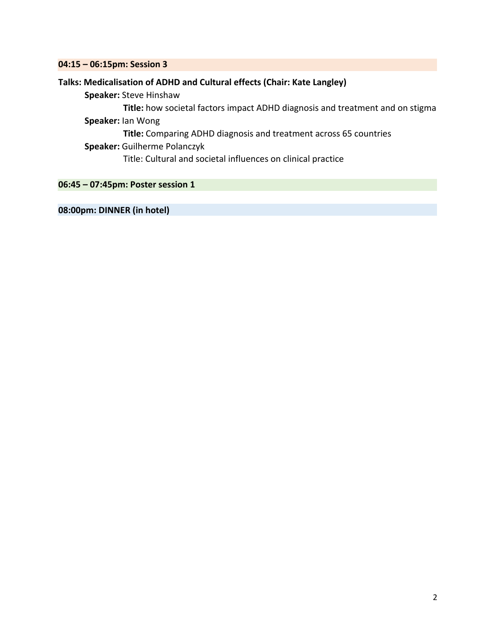### **04:15 – 06:15pm: Session 3**

# **Talks: Medicalisation of ADHD and Cultural effects (Chair: Kate Langley)**

 **Speaker:** Steve Hinshaw

 **Title:** how societal factors impact ADHD diagnosis and treatment and on stigma

 **Speaker:** Ian Wong

**Title:** Comparing ADHD diagnosis and treatment across 65 countries

# **Speaker:** Guilherme Polanczyk

Title: Cultural and societal influences on clinical practice

**06:45 – 07:45pm: Poster session 1**

# **08:00pm: DINNER (in hotel)**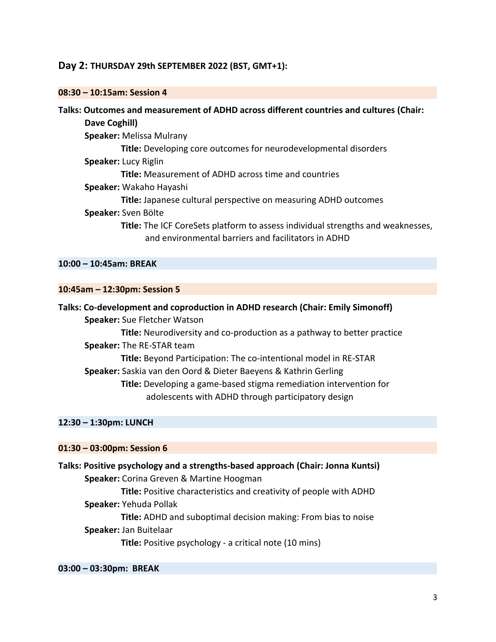# **Day 2: THURSDAY 29th SEPTEMBER 2022 (BST, GMT+1):**

#### **08:30 – 10:15am: Session 4**

# **Talks: Outcomes and measurement of ADHD across different countries and cultures (Chair: Dave Coghill)**

 **Speaker:** Melissa Mulrany  **Title:** Developing core outcomes for neurodevelopmental disorders

#### **Speaker:** Lucy Riglin

 **Title:** Measurement of ADHD across time and countries

 **Speaker:** Wakaho Hayashi

**Title:** Japanese cultural perspective on measuring ADHD outcomes

### **Speaker:** Sven Bölte

 **Title:** The ICF CoreSets platform to assess individual strengths and weaknesses, and environmental barriers and facilitators in ADHD

# **10:00 – 10:45am: BREAK**

### **10:45am – 12:30pm: Session 5**

**Talks: Co-development and coproduction in ADHD research (Chair: Emily Simonoff)**

 **Speaker:** Sue Fletcher Watson

 **Title:** Neurodiversity and co-production as a pathway to better practice

 **Speaker:** The RE-STAR team

**Title:** Beyond Participation: The co-intentional model in RE-STAR  **Speaker:** Saskia van den Oord & Dieter Baeyens & Kathrin Gerling

**Title:** Developing a game-based stigma remediation intervention for

adolescents with ADHD through participatory design

### **12:30 – 1:30pm: LUNCH**

#### **01:30 – 03:00pm: Session 6**

**Talks: Positive psychology and a strengths-based approach (Chair: Jonna Kuntsi) Speaker:** Corina Greven & Martine Hoogman  **Title:** Positive characteristics and creativity of people with ADHD  **Speaker:** Yehuda Pollak

 **Title:** ADHD and suboptimal decision making: From bias to noise  **Speaker:** Jan Buitelaar

 **Title:** Positive psychology - a critical note (10 mins)

#### **03:00 – 03:30pm: BREAK**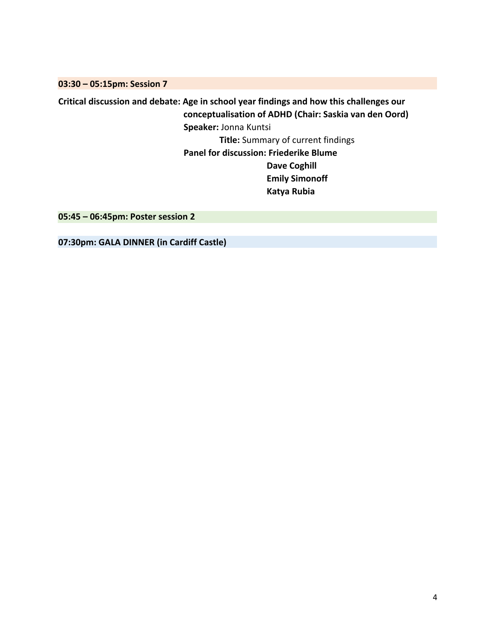**03:30 – 05:15pm: Session 7**

**Critical discussion and debate: Age in school year findings and how this challenges our conceptualisation of ADHD (Chair: Saskia van den Oord) Speaker:** Jonna Kuntsi  **Title:** Summary of current findings  **Panel for discussion: Friederike Blume Dave Coghill Emily Simonoff Katya Rubia**

**05:45 – 06:45pm: Poster session 2**

**07:30pm: GALA DINNER (in Cardiff Castle)**